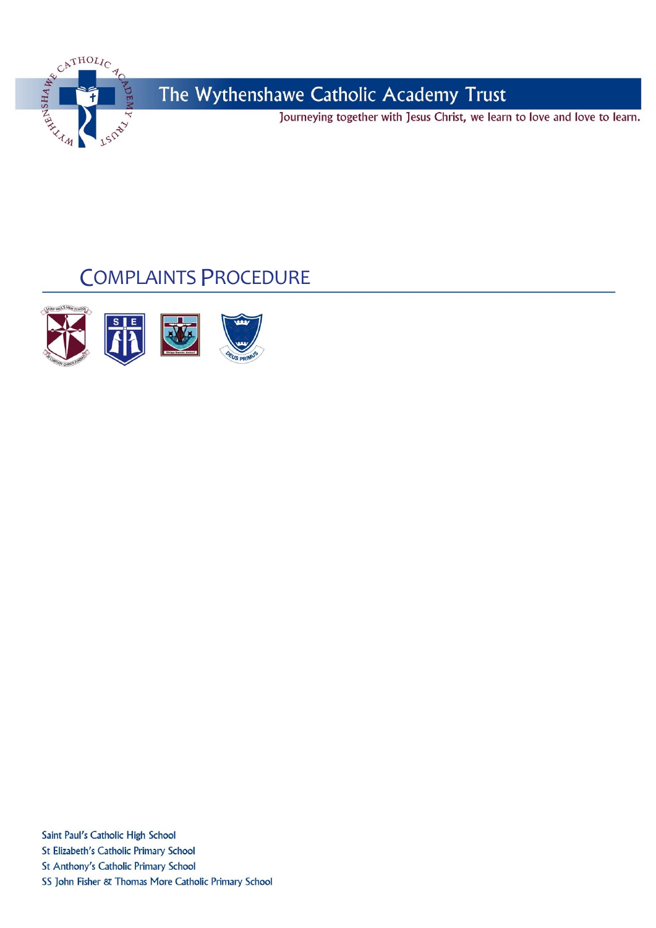

Journeying together with Jesus Christ, we learn to love and love to learn.

# **COMPLAINTS PROCEDURE**



Saint Paul's Catholic High School St Elizabeth's Catholic Primary School St Anthony's Catholic Primary School SS John Fisher & Thomas More Catholic Primary School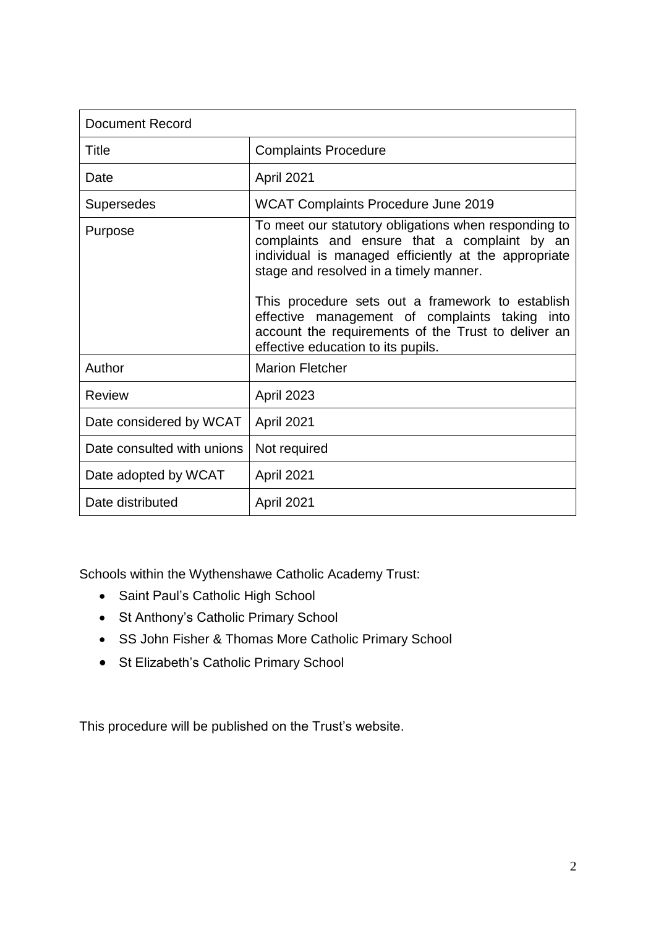| <b>Document Record</b>     |                                                                                                                                                                                                                                                                                                                                                                                                           |  |  |
|----------------------------|-----------------------------------------------------------------------------------------------------------------------------------------------------------------------------------------------------------------------------------------------------------------------------------------------------------------------------------------------------------------------------------------------------------|--|--|
| Title                      | <b>Complaints Procedure</b>                                                                                                                                                                                                                                                                                                                                                                               |  |  |
| Date                       | April 2021                                                                                                                                                                                                                                                                                                                                                                                                |  |  |
| <b>Supersedes</b>          | <b>WCAT Complaints Procedure June 2019</b>                                                                                                                                                                                                                                                                                                                                                                |  |  |
| Purpose                    | To meet our statutory obligations when responding to<br>complaints and ensure that a complaint by an<br>individual is managed efficiently at the appropriate<br>stage and resolved in a timely manner.<br>This procedure sets out a framework to establish<br>effective management of complaints taking into<br>account the requirements of the Trust to deliver an<br>effective education to its pupils. |  |  |
| Author                     | <b>Marion Fletcher</b>                                                                                                                                                                                                                                                                                                                                                                                    |  |  |
| <b>Review</b>              | April 2023                                                                                                                                                                                                                                                                                                                                                                                                |  |  |
| Date considered by WCAT    | April 2021                                                                                                                                                                                                                                                                                                                                                                                                |  |  |
| Date consulted with unions | Not required                                                                                                                                                                                                                                                                                                                                                                                              |  |  |
| Date adopted by WCAT       | April 2021                                                                                                                                                                                                                                                                                                                                                                                                |  |  |
| Date distributed           | April 2021                                                                                                                                                                                                                                                                                                                                                                                                |  |  |

Schools within the Wythenshawe Catholic Academy Trust:

- Saint Paul's Catholic High School
- St Anthony's Catholic Primary School
- SS John Fisher & Thomas More Catholic Primary School
- St Elizabeth's Catholic Primary School

This procedure will be published on the Trust's website.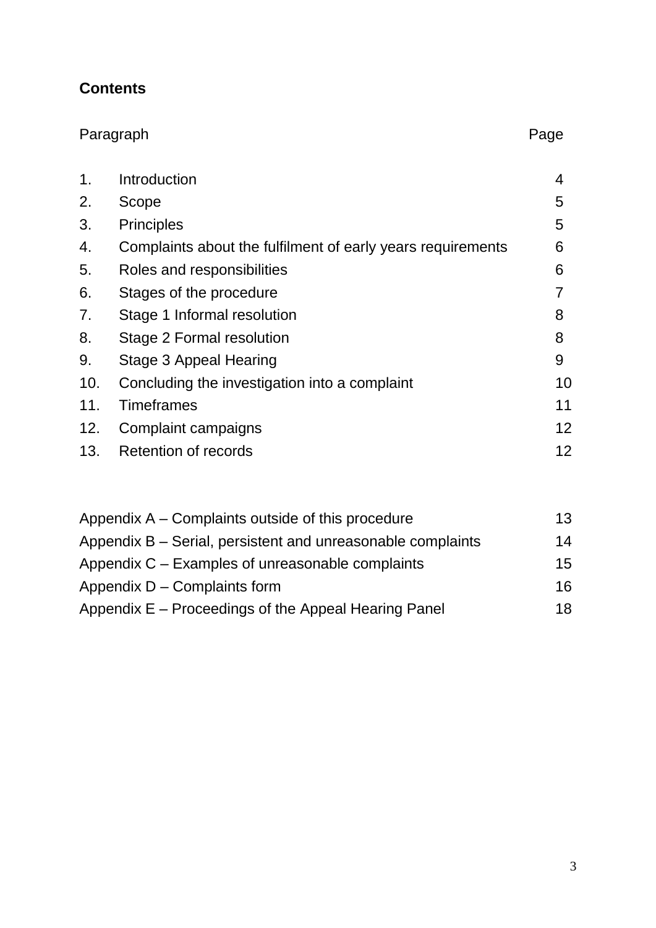# **Contents**

| Paragraph |                                                             | Page |
|-----------|-------------------------------------------------------------|------|
| 1.        | Introduction                                                | 4    |
| 2.        | Scope                                                       | 5    |
| 3.        | <b>Principles</b>                                           | 5    |
| 4.        | Complaints about the fulfilment of early years requirements | 6    |
| 5.        | Roles and responsibilities                                  | 6    |
| 6.        | Stages of the procedure                                     |      |
| 7.        | Stage 1 Informal resolution                                 | 8    |
| 8.        | Stage 2 Formal resolution                                   | 8    |
| 9.        | Stage 3 Appeal Hearing                                      | 9    |
| 10.       | Concluding the investigation into a complaint               | 10   |
| 11.       | <b>Timeframes</b>                                           | 11   |
| 12.       | Complaint campaigns                                         | 12   |
| 13.       | Retention of records                                        | 12   |

| Appendix A – Complaints outside of this procedure           | 13 |
|-------------------------------------------------------------|----|
| Appendix B – Serial, persistent and unreasonable complaints | 14 |
| Appendix C – Examples of unreasonable complaints            | 15 |
| Appendix D – Complaints form                                | 16 |
| Appendix E – Proceedings of the Appeal Hearing Panel        | 18 |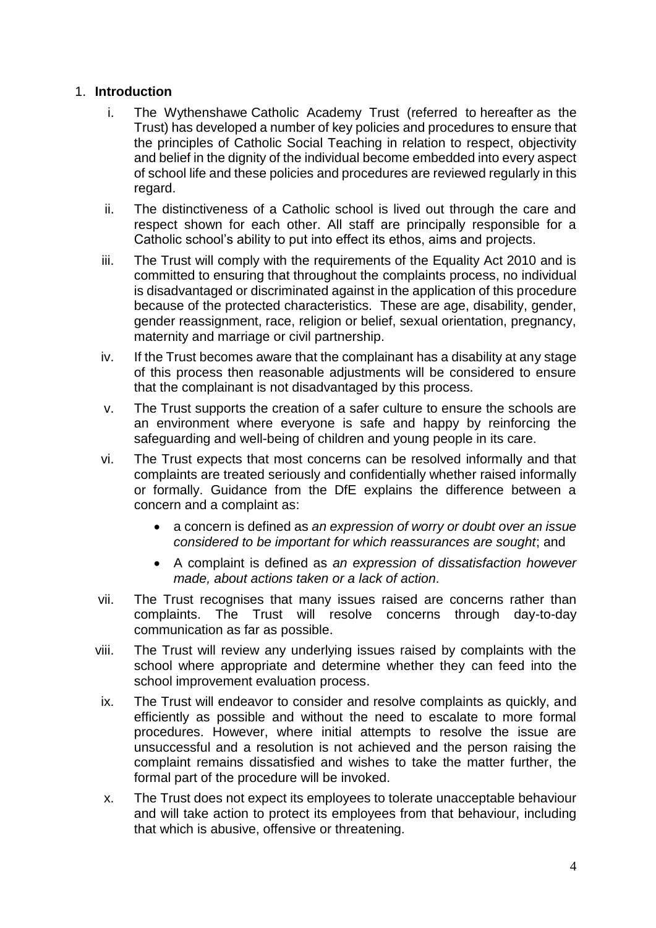#### 1. **Introduction**

- i. The Wythenshawe Catholic Academy Trust (referred to hereafter as the Trust) has developed a number of key policies and procedures to ensure that the principles of Catholic Social Teaching in relation to respect, objectivity and belief in the dignity of the individual become embedded into every aspect of school life and these policies and procedures are reviewed regularly in this regard.
- ii. The distinctiveness of a Catholic school is lived out through the care and respect shown for each other. All staff are principally responsible for a Catholic school's ability to put into effect its ethos, aims and projects.
- iii. The Trust will comply with the requirements of the Equality Act 2010 and is committed to ensuring that throughout the complaints process, no individual is disadvantaged or discriminated against in the application of this procedure because of the protected characteristics. These are age, disability, gender, gender reassignment, race, religion or belief, sexual orientation, pregnancy, maternity and marriage or civil partnership.
- iv. If the Trust becomes aware that the complainant has a disability at any stage of this process then reasonable adjustments will be considered to ensure that the complainant is not disadvantaged by this process.
- v. The Trust supports the creation of a safer culture to ensure the schools are an environment where everyone is safe and happy by reinforcing the safeguarding and well-being of children and young people in its care.
- vi. The Trust expects that most concerns can be resolved informally and that complaints are treated seriously and confidentially whether raised informally or formally. Guidance from the DfE explains the difference between a concern and a complaint as:
	- a concern is defined as *an expression of worry or doubt over an issue considered to be important for which reassurances are sought*; and
	- A complaint is defined as *an expression of dissatisfaction however made, about actions taken or a lack of action.*
- vii. The Trust recognises that many issues raised are concerns rather than complaints. The Trust will resolve concerns through day-to-day communication as far as possible.
- viii. The Trust will review any underlying issues raised by complaints with the school where appropriate and determine whether they can feed into the school improvement evaluation process.
- ix. The Trust will endeavor to consider and resolve complaints as quickly, and efficiently as possible and without the need to escalate to more formal procedures. However, where initial attempts to resolve the issue are unsuccessful and a resolution is not achieved and the person raising the complaint remains dissatisfied and wishes to take the matter further, the formal part of the procedure will be invoked.
- x. The Trust does not expect its employees to tolerate unacceptable behaviour and will take action to protect its employees from that behaviour, including that which is abusive, offensive or threatening.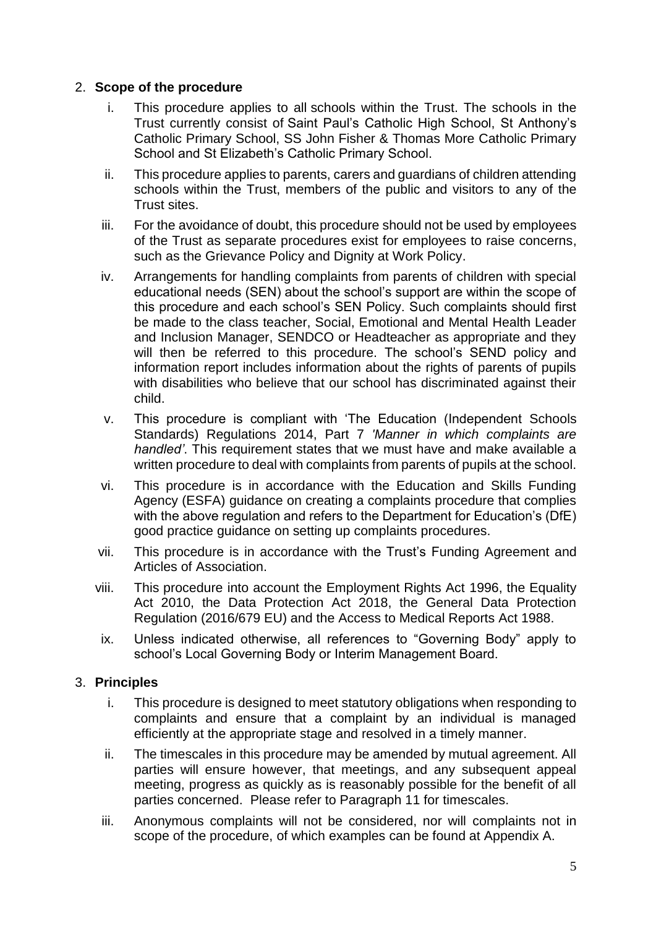#### 2. **Scope of the procedure**

- i. This procedure applies to all schools within the Trust. The schools in the Trust currently consist of Saint Paul's Catholic High School, St Anthony's Catholic Primary School, SS John Fisher & Thomas More Catholic Primary School and St Elizabeth's Catholic Primary School.
- ii. This procedure applies to parents, carers and guardians of children attending schools within the Trust, members of the public and visitors to any of the Trust sites.
- iii. For the avoidance of doubt, this procedure should not be used by employees of the Trust as separate procedures exist for employees to raise concerns, such as the Grievance Policy and Dignity at Work Policy.
- iv. Arrangements for handling complaints from parents of children with special educational needs (SEN) about the school's support are within the scope of this procedure and each school's SEN Policy. Such complaints should first be made to the class teacher, Social, Emotional and Mental Health Leader and Inclusion Manager, SENDCO or Headteacher as appropriate and they will then be referred to this procedure. The school's SEND policy and information report includes information about the rights of parents of pupils with disabilities who believe that our school has discriminated against their child.
- v. This procedure is compliant with 'The Education (Independent Schools Standards) Regulations 2014, Part 7 *'Manner in which complaints are handled'*. This requirement states that we must have and make available a written procedure to deal with complaints from parents of pupils at the school.
- vi. This procedure is in accordance with the Education and Skills Funding Agency (ESFA) guidance on creating a complaints procedure that complies with the above regulation and refers to the Department for Education's (DfE) good practice guidance on setting up complaints procedures.
- vii. This procedure is in accordance with the Trust's Funding Agreement and Articles of Association.
- viii. This procedure into account the Employment Rights Act 1996, the Equality Act 2010, the Data Protection Act 2018, the General Data Protection Regulation (2016/679 EU) and the Access to Medical Reports Act 1988.
- ix. Unless indicated otherwise, all references to "Governing Body" apply to school's Local Governing Body or Interim Management Board.

#### 3. **Principles**

- i. This procedure is designed to meet statutory obligations when responding to complaints and ensure that a complaint by an individual is managed efficiently at the appropriate stage and resolved in a timely manner.
- ii. The timescales in this procedure may be amended by mutual agreement. All parties will ensure however, that meetings, and any subsequent appeal meeting, progress as quickly as is reasonably possible for the benefit of all parties concerned. Please refer to Paragraph 11 for timescales.
- iii. Anonymous complaints will not be considered, nor will complaints not in scope of the procedure, of which examples can be found at Appendix A.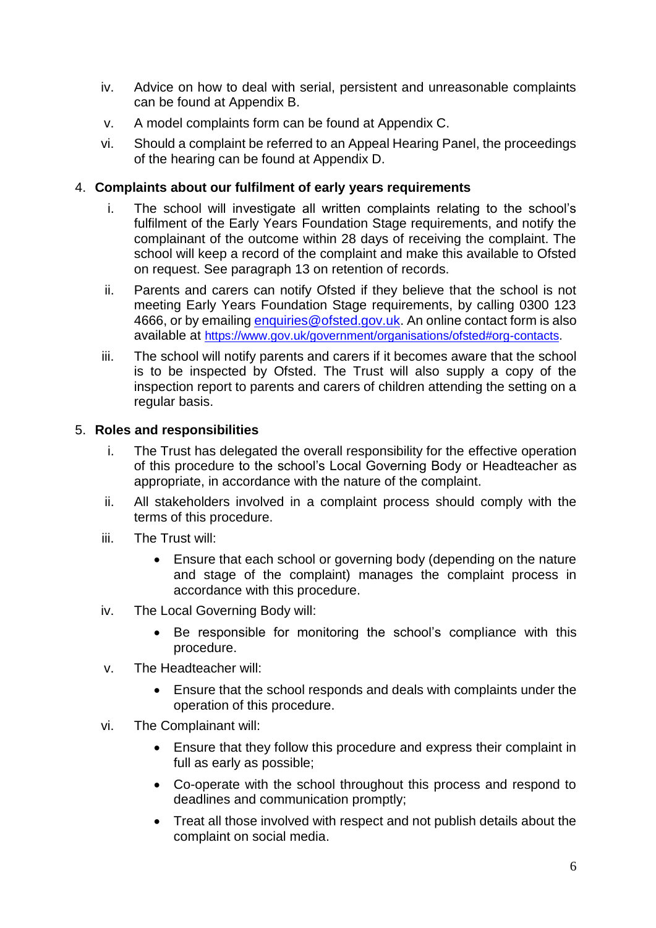- iv. Advice on how to deal with serial, persistent and unreasonable complaints can be found at Appendix B.
- v. A model complaints form can be found at Appendix C.
- vi. Should a complaint be referred to an Appeal Hearing Panel, the proceedings of the hearing can be found at Appendix D.

#### 4. **Complaints about our fulfilment of early years requirements**

- i. The school will investigate all written complaints relating to the school's fulfilment of the Early Years Foundation Stage requirements, and notify the complainant of the outcome within 28 days of receiving the complaint. The school will keep a record of the complaint and make this available to Ofsted on request. See paragraph 13 on retention of records.
- ii. Parents and carers can notify Ofsted if they believe that the school is not meeting Early Years Foundation Stage requirements, by calling 0300 123 4666, or by emailing [enquiries@ofsted.gov.uk.](mailto:enquiries@ofsted.gov.uk) An online contact form is also available at [https://www.gov.uk/government/organisations/ofsted#org-contacts.](https://www.gov.uk/government/organisations/ofsted#org-contacts)
- iii. The school will notify parents and carers if it becomes aware that the school is to be inspected by Ofsted. The Trust will also supply a copy of the inspection report to parents and carers of children attending the setting on a regular basis.

#### 5. **Roles and responsibilities**

- i. The Trust has delegated the overall responsibility for the effective operation of this procedure to the school's Local Governing Body or Headteacher as appropriate, in accordance with the nature of the complaint.
- ii. All stakeholders involved in a complaint process should comply with the terms of this procedure.
- iii. The Trust will:
	- Ensure that each school or governing body (depending on the nature and stage of the complaint) manages the complaint process in accordance with this procedure.
- iv. The Local Governing Body will:
	- Be responsible for monitoring the school's compliance with this procedure.
- v. The Headteacher will:
	- Ensure that the school responds and deals with complaints under the operation of this procedure.
- vi. The Complainant will:
	- Ensure that they follow this procedure and express their complaint in full as early as possible;
	- Co-operate with the school throughout this process and respond to deadlines and communication promptly;
	- Treat all those involved with respect and not publish details about the complaint on social media.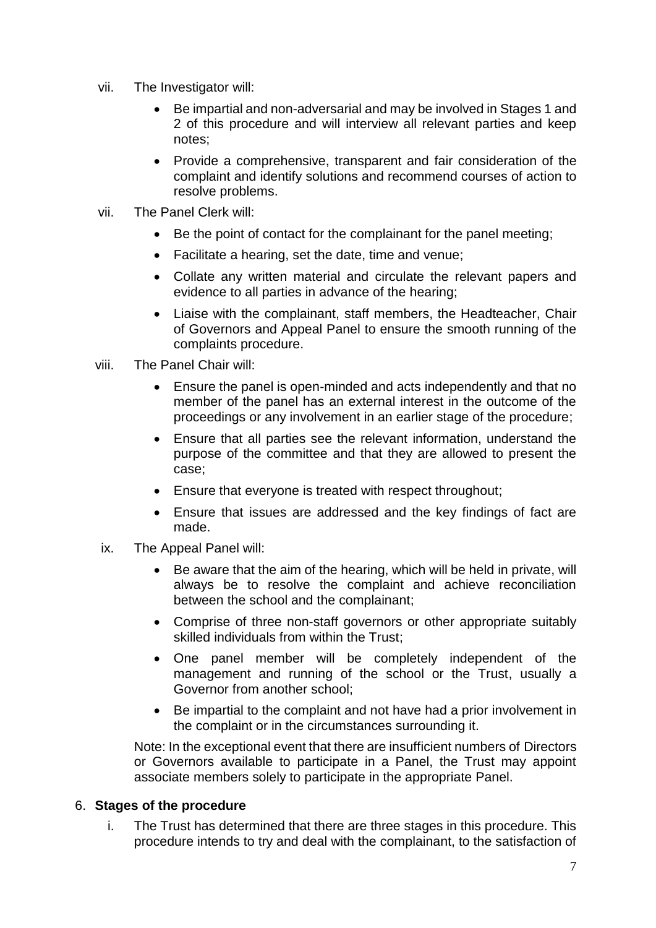- vii. The Investigator will:
	- Be impartial and non-adversarial and may be involved in Stages 1 and 2 of this procedure and will interview all relevant parties and keep notes;
	- Provide a comprehensive, transparent and fair consideration of the complaint and identify solutions and recommend courses of action to resolve problems.
- vii. The Panel Clerk will:
	- Be the point of contact for the complainant for the panel meeting;
	- Facilitate a hearing, set the date, time and venue;
	- Collate any written material and circulate the relevant papers and evidence to all parties in advance of the hearing;
	- Liaise with the complainant, staff members, the Headteacher, Chair of Governors and Appeal Panel to ensure the smooth running of the complaints procedure.
- viii. The Panel Chair will:
	- Ensure the panel is open-minded and acts independently and that no member of the panel has an external interest in the outcome of the proceedings or any involvement in an earlier stage of the procedure;
	- Ensure that all parties see the relevant information, understand the purpose of the committee and that they are allowed to present the case;
	- Ensure that everyone is treated with respect throughout;
	- Ensure that issues are addressed and the key findings of fact are made.
- ix. The Appeal Panel will:
	- Be aware that the aim of the hearing, which will be held in private, will always be to resolve the complaint and achieve reconciliation between the school and the complainant;
	- Comprise of three non-staff governors or other appropriate suitably skilled individuals from within the Trust;
	- One panel member will be completely independent of the management and running of the school or the Trust, usually a Governor from another school;
	- Be impartial to the complaint and not have had a prior involvement in the complaint or in the circumstances surrounding it.

Note: In the exceptional event that there are insufficient numbers of Directors or Governors available to participate in a Panel, the Trust may appoint associate members solely to participate in the appropriate Panel.

#### 6. **Stages of the procedure**

i. The Trust has determined that there are three stages in this procedure. This procedure intends to try and deal with the complainant, to the satisfaction of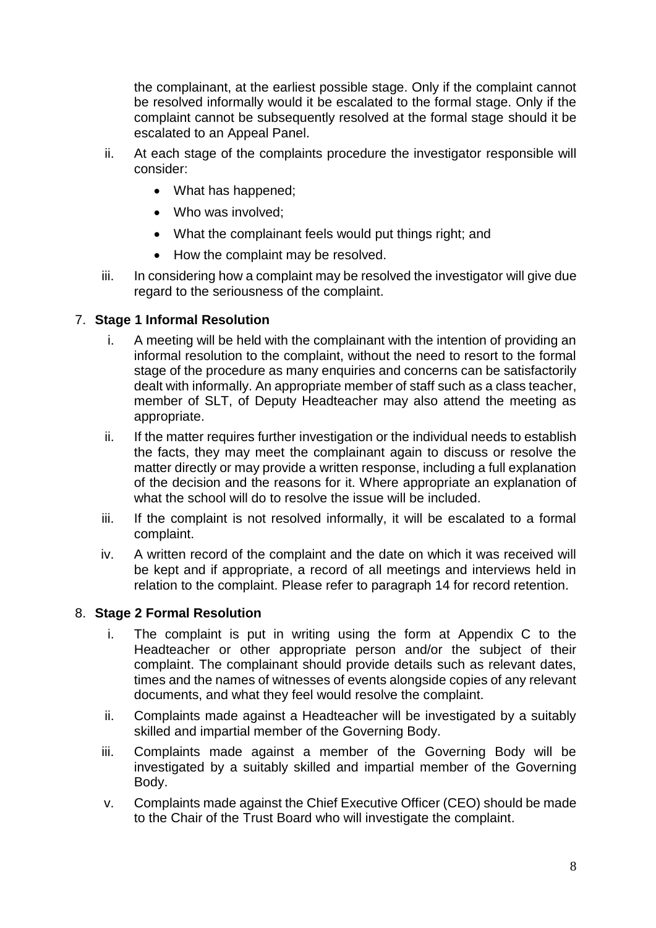the complainant, at the earliest possible stage. Only if the complaint cannot be resolved informally would it be escalated to the formal stage. Only if the complaint cannot be subsequently resolved at the formal stage should it be escalated to an Appeal Panel.

- ii. At each stage of the complaints procedure the investigator responsible will consider:
	- What has happened;
	- Who was involved;
	- What the complainant feels would put things right; and
	- How the complaint may be resolved.
- iii. In considering how a complaint may be resolved the investigator will give due regard to the seriousness of the complaint.

### 7. **Stage 1 Informal Resolution**

- i. A meeting will be held with the complainant with the intention of providing an informal resolution to the complaint, without the need to resort to the formal stage of the procedure as many enquiries and concerns can be satisfactorily dealt with informally. An appropriate member of staff such as a class teacher, member of SLT, of Deputy Headteacher may also attend the meeting as appropriate.
- ii. If the matter requires further investigation or the individual needs to establish the facts, they may meet the complainant again to discuss or resolve the matter directly or may provide a written response, including a full explanation of the decision and the reasons for it. Where appropriate an explanation of what the school will do to resolve the issue will be included.
- iii. If the complaint is not resolved informally, it will be escalated to a formal complaint.
- iv. A written record of the complaint and the date on which it was received will be kept and if appropriate, a record of all meetings and interviews held in relation to the complaint. Please refer to paragraph 14 for record retention.

#### 8. **Stage 2 Formal Resolution**

- i. The complaint is put in writing using the form at Appendix C to the Headteacher or other appropriate person and/or the subject of their complaint. The complainant should provide details such as relevant dates, times and the names of witnesses of events alongside copies of any relevant documents, and what they feel would resolve the complaint.
- ii. Complaints made against a Headteacher will be investigated by a suitably skilled and impartial member of the Governing Body.
- iii. Complaints made against a member of the Governing Body will be investigated by a suitably skilled and impartial member of the Governing Body.
- v. Complaints made against the Chief Executive Officer (CEO) should be made to the Chair of the Trust Board who will investigate the complaint.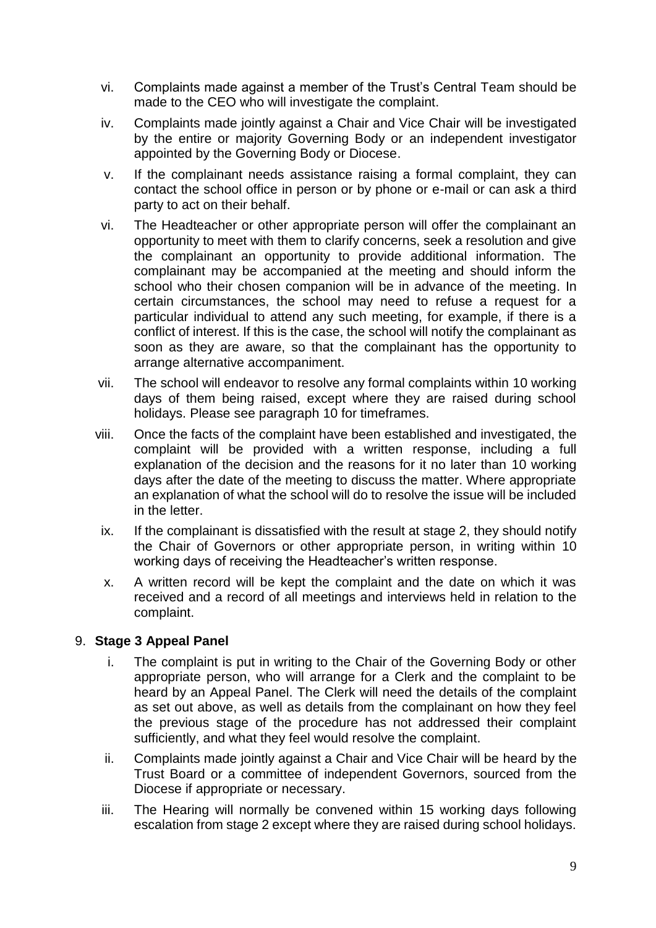- vi. Complaints made against a member of the Trust's Central Team should be made to the CEO who will investigate the complaint.
- iv. Complaints made jointly against a Chair and Vice Chair will be investigated by the entire or majority Governing Body or an independent investigator appointed by the Governing Body or Diocese.
- v. If the complainant needs assistance raising a formal complaint, they can contact the school office in person or by phone or e-mail or can ask a third party to act on their behalf.
- vi. The Headteacher or other appropriate person will offer the complainant an opportunity to meet with them to clarify concerns, seek a resolution and give the complainant an opportunity to provide additional information. The complainant may be accompanied at the meeting and should inform the school who their chosen companion will be in advance of the meeting. In certain circumstances, the school may need to refuse a request for a particular individual to attend any such meeting, for example, if there is a conflict of interest. If this is the case, the school will notify the complainant as soon as they are aware, so that the complainant has the opportunity to arrange alternative accompaniment.
- vii. The school will endeavor to resolve any formal complaints within 10 working days of them being raised, except where they are raised during school holidays. Please see paragraph 10 for timeframes.
- viii. Once the facts of the complaint have been established and investigated, the complaint will be provided with a written response, including a full explanation of the decision and the reasons for it no later than 10 working days after the date of the meeting to discuss the matter. Where appropriate an explanation of what the school will do to resolve the issue will be included in the letter.
- ix. If the complainant is dissatisfied with the result at stage 2, they should notify the Chair of Governors or other appropriate person, in writing within 10 working days of receiving the Headteacher's written response.
- x. A written record will be kept the complaint and the date on which it was received and a record of all meetings and interviews held in relation to the complaint.

#### 9. **Stage 3 Appeal Panel**

- i. The complaint is put in writing to the Chair of the Governing Body or other appropriate person, who will arrange for a Clerk and the complaint to be heard by an Appeal Panel. The Clerk will need the details of the complaint as set out above, as well as details from the complainant on how they feel the previous stage of the procedure has not addressed their complaint sufficiently, and what they feel would resolve the complaint.
- ii. Complaints made jointly against a Chair and Vice Chair will be heard by the Trust Board or a committee of independent Governors, sourced from the Diocese if appropriate or necessary.
- iii. The Hearing will normally be convened within 15 working days following escalation from stage 2 except where they are raised during school holidays.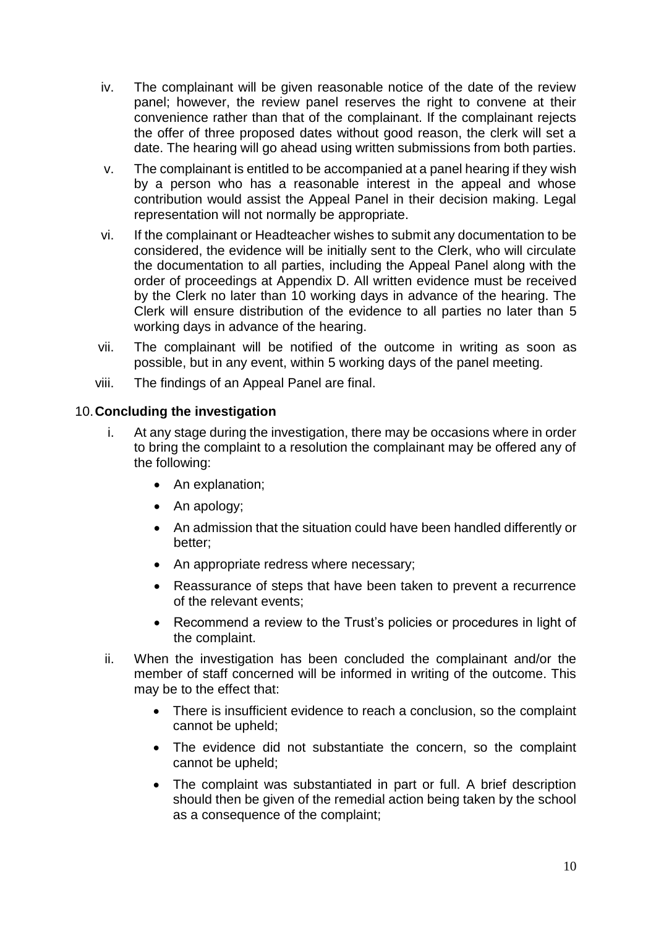- iv. The complainant will be given reasonable notice of the date of the review panel; however, the review panel reserves the right to convene at their convenience rather than that of the complainant. If the complainant rejects the offer of three proposed dates without good reason, the clerk will set a date. The hearing will go ahead using written submissions from both parties.
- v. The complainant is entitled to be accompanied at a panel hearing if they wish by a person who has a reasonable interest in the appeal and whose contribution would assist the Appeal Panel in their decision making. Legal representation will not normally be appropriate.
- vi. If the complainant or Headteacher wishes to submit any documentation to be considered, the evidence will be initially sent to the Clerk, who will circulate the documentation to all parties, including the Appeal Panel along with the order of proceedings at Appendix D. All written evidence must be received by the Clerk no later than 10 working days in advance of the hearing. The Clerk will ensure distribution of the evidence to all parties no later than 5 working days in advance of the hearing.
- vii. The complainant will be notified of the outcome in writing as soon as possible, but in any event, within 5 working days of the panel meeting.
- viii. The findings of an Appeal Panel are final.

#### 10.**Concluding the investigation**

- i. At any stage during the investigation, there may be occasions where in order to bring the complaint to a resolution the complainant may be offered any of the following:
	- An explanation;
	- An apology;
	- An admission that the situation could have been handled differently or better;
	- An appropriate redress where necessary;
	- Reassurance of steps that have been taken to prevent a recurrence of the relevant events;
	- Recommend a review to the Trust's policies or procedures in light of the complaint.
- ii. When the investigation has been concluded the complainant and/or the member of staff concerned will be informed in writing of the outcome. This may be to the effect that:
	- There is insufficient evidence to reach a conclusion, so the complaint cannot be upheld;
	- The evidence did not substantiate the concern, so the complaint cannot be upheld;
	- The complaint was substantiated in part or full. A brief description should then be given of the remedial action being taken by the school as a consequence of the complaint;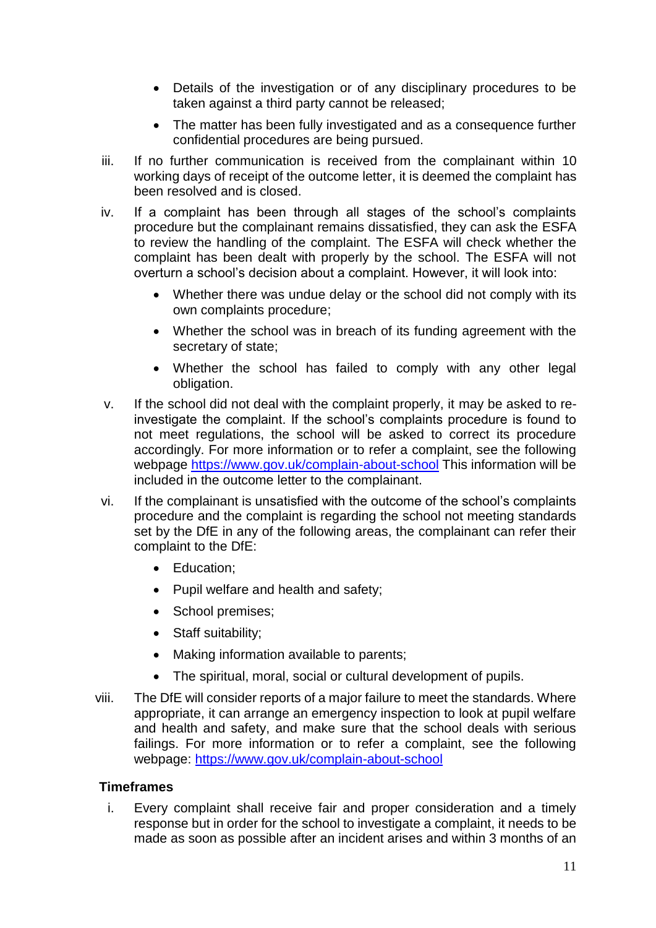- Details of the investigation or of any disciplinary procedures to be taken against a third party cannot be released;
- The matter has been fully investigated and as a consequence further confidential procedures are being pursued.
- iii. If no further communication is received from the complainant within 10 working days of receipt of the outcome letter, it is deemed the complaint has been resolved and is closed.
- iv. If a complaint has been through all stages of the school's complaints procedure but the complainant remains dissatisfied, they can ask the ESFA to review the handling of the complaint. The ESFA will check whether the complaint has been dealt with properly by the school. The ESFA will not overturn a school's decision about a complaint. However, it will look into:
	- Whether there was undue delay or the school did not comply with its own complaints procedure;
	- Whether the school was in breach of its funding agreement with the secretary of state;
	- Whether the school has failed to comply with any other legal obligation.
- v. If the school did not deal with the complaint properly, it may be asked to reinvestigate the complaint. If the school's complaints procedure is found to not meet regulations, the school will be asked to correct its procedure accordingly. For more information or to refer a complaint, see the following webpage<https://www.gov.uk/complain-about-school> This information will be included in the outcome letter to the complainant.
- vi. If the complainant is unsatisfied with the outcome of the school's complaints procedure and the complaint is regarding the school not meeting standards set by the DfE in any of the following areas, the complainant can refer their complaint to the DfE:
	- Education;
	- Pupil welfare and health and safety;
	- School premises:
	- Staff suitability;
	- Making information available to parents;
	- The spiritual, moral, social or cultural development of pupils.
- viii. The DfE will consider reports of a major failure to meet the standards. Where appropriate, it can arrange an emergency inspection to look at pupil welfare and health and safety, and make sure that the school deals with serious failings. For more information or to refer a complaint, see the following webpage:<https://www.gov.uk/complain-about-school>

#### **Timeframes**

i. Every complaint shall receive fair and proper consideration and a timely response but in order for the school to investigate a complaint, it needs to be made as soon as possible after an incident arises and within 3 months of an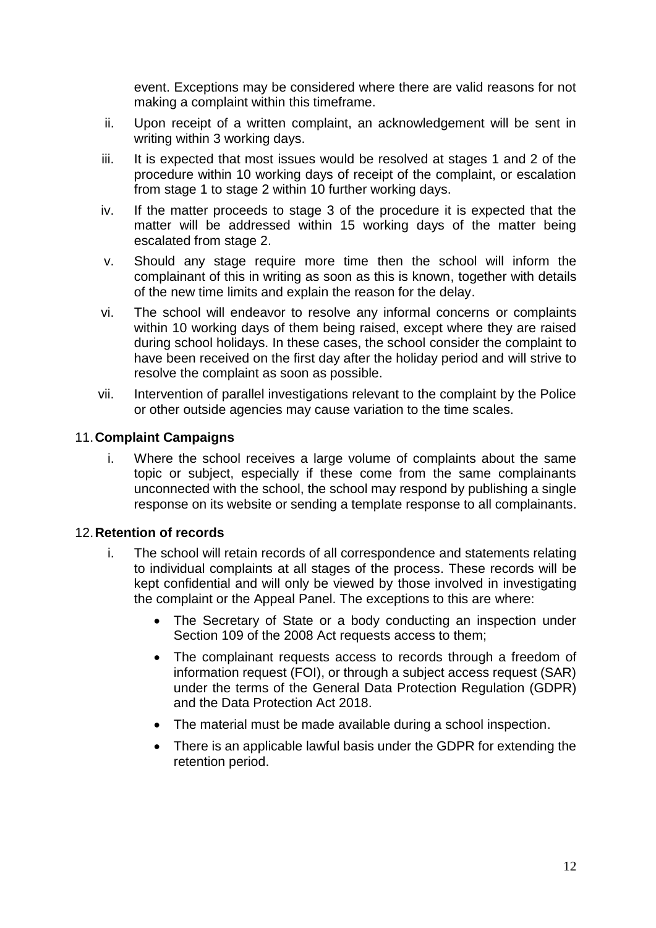event. Exceptions may be considered where there are valid reasons for not making a complaint within this timeframe.

- ii. Upon receipt of a written complaint, an acknowledgement will be sent in writing within 3 working days.
- iii. It is expected that most issues would be resolved at stages 1 and 2 of the procedure within 10 working days of receipt of the complaint, or escalation from stage 1 to stage 2 within 10 further working days.
- iv. If the matter proceeds to stage 3 of the procedure it is expected that the matter will be addressed within 15 working days of the matter being escalated from stage 2.
- v. Should any stage require more time then the school will inform the complainant of this in writing as soon as this is known, together with details of the new time limits and explain the reason for the delay.
- vi. The school will endeavor to resolve any informal concerns or complaints within 10 working days of them being raised, except where they are raised during school holidays. In these cases, the school consider the complaint to have been received on the first day after the holiday period and will strive to resolve the complaint as soon as possible.
- vii. Intervention of parallel investigations relevant to the complaint by the Police or other outside agencies may cause variation to the time scales.

#### 11.**Complaint Campaigns**

i. Where the school receives a large volume of complaints about the same topic or subject, especially if these come from the same complainants unconnected with the school, the school may respond by publishing a single response on its website or sending a template response to all complainants.

#### 12.**Retention of records**

- i. The school will retain records of all correspondence and statements relating to individual complaints at all stages of the process. These records will be kept confidential and will only be viewed by those involved in investigating the complaint or the Appeal Panel. The exceptions to this are where:
	- The Secretary of State or a body conducting an inspection under Section 109 of the 2008 Act requests access to them;
	- The complainant requests access to records through a freedom of information request (FOI), or through a subject access request (SAR) under the terms of the General Data Protection Regulation (GDPR) and the Data Protection Act 2018.
	- The material must be made available during a school inspection.
	- There is an applicable lawful basis under the GDPR for extending the retention period.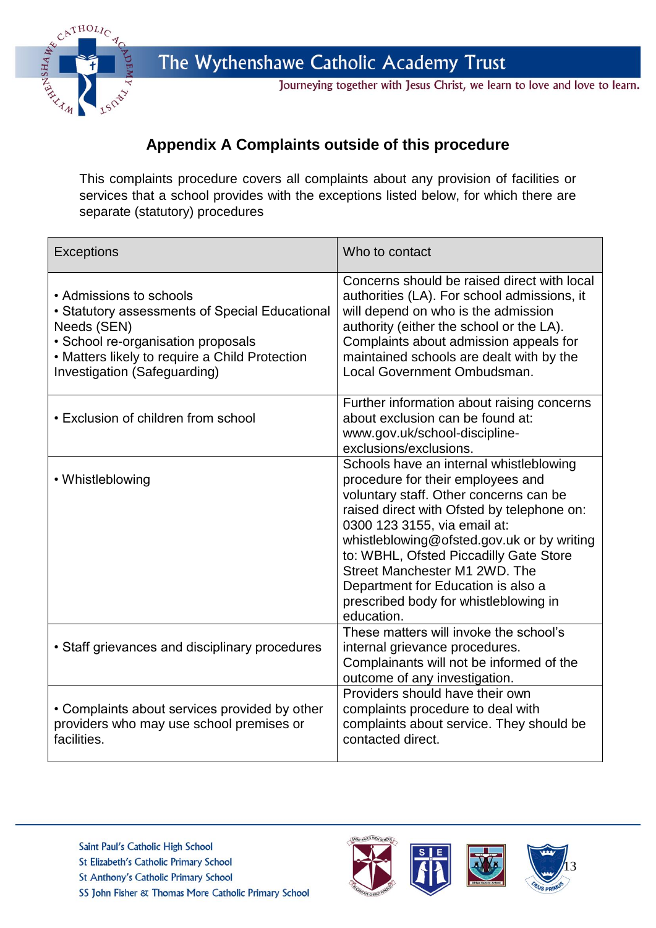

Journeying together with Jesus Christ, we learn to love and love to learn.

## **Appendix A Complaints outside of this procedure**

This complaints procedure covers all complaints about any provision of facilities or services that a school provides with the exceptions listed below, for which there are separate (statutory) procedures

| <b>Exceptions</b>                                                                                                                                                                                                | Who to contact                                                                                                                                                                                                                                                                                                                                                                                                             |
|------------------------------------------------------------------------------------------------------------------------------------------------------------------------------------------------------------------|----------------------------------------------------------------------------------------------------------------------------------------------------------------------------------------------------------------------------------------------------------------------------------------------------------------------------------------------------------------------------------------------------------------------------|
| • Admissions to schools<br>• Statutory assessments of Special Educational<br>Needs (SEN)<br>· School re-organisation proposals<br>• Matters likely to require a Child Protection<br>Investigation (Safeguarding) | Concerns should be raised direct with local<br>authorities (LA). For school admissions, it<br>will depend on who is the admission<br>authority (either the school or the LA).<br>Complaints about admission appeals for<br>maintained schools are dealt with by the<br>Local Government Ombudsman.                                                                                                                         |
| • Exclusion of children from school                                                                                                                                                                              | Further information about raising concerns<br>about exclusion can be found at:<br>www.gov.uk/school-discipline-<br>exclusions/exclusions.                                                                                                                                                                                                                                                                                  |
| • Whistleblowing                                                                                                                                                                                                 | Schools have an internal whistleblowing<br>procedure for their employees and<br>voluntary staff. Other concerns can be<br>raised direct with Ofsted by telephone on:<br>0300 123 3155, via email at:<br>whistleblowing@ofsted.gov.uk or by writing<br>to: WBHL, Ofsted Piccadilly Gate Store<br>Street Manchester M1 2WD. The<br>Department for Education is also a<br>prescribed body for whistleblowing in<br>education. |
| • Staff grievances and disciplinary procedures                                                                                                                                                                   | These matters will invoke the school's<br>internal grievance procedures.<br>Complainants will not be informed of the<br>outcome of any investigation.                                                                                                                                                                                                                                                                      |
| • Complaints about services provided by other<br>providers who may use school premises or<br>facilities.                                                                                                         | Providers should have their own<br>complaints procedure to deal with<br>complaints about service. They should be<br>contacted direct.                                                                                                                                                                                                                                                                                      |



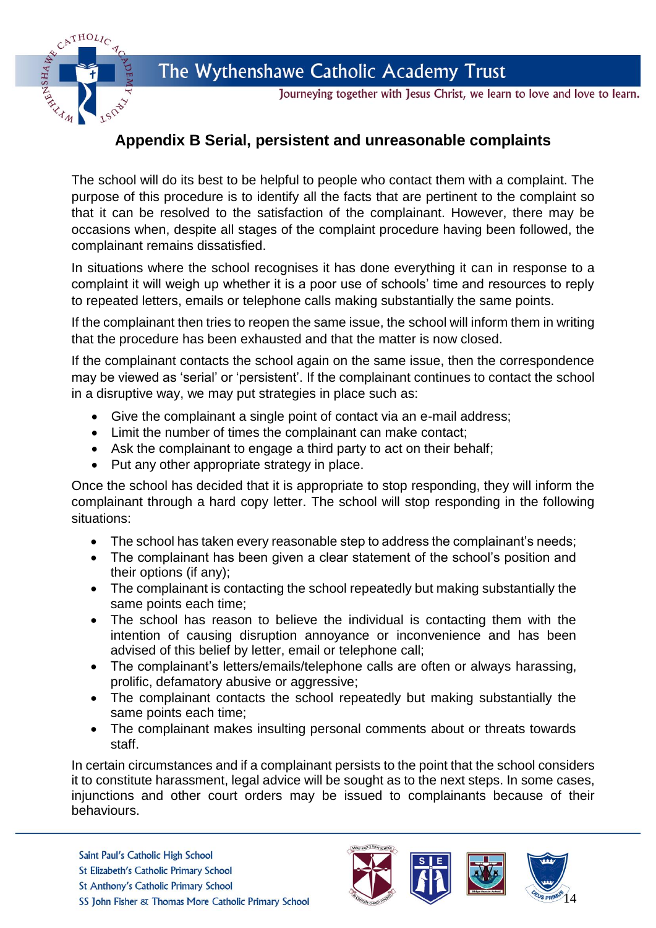

Journeying together with Jesus Christ, we learn to love and love to learn.

## **Appendix B Serial, persistent and unreasonable complaints**

The school will do its best to be helpful to people who contact them with a complaint. The purpose of this procedure is to identify all the facts that are pertinent to the complaint so that it can be resolved to the satisfaction of the complainant. However, there may be occasions when, despite all stages of the complaint procedure having been followed, the complainant remains dissatisfied.

In situations where the school recognises it has done everything it can in response to a complaint it will weigh up whether it is a poor use of schools' time and resources to reply to repeated letters, emails or telephone calls making substantially the same points.

If the complainant then tries to reopen the same issue, the school will inform them in writing that the procedure has been exhausted and that the matter is now closed.

If the complainant contacts the school again on the same issue, then the correspondence may be viewed as 'serial' or 'persistent'. If the complainant continues to contact the school in a disruptive way, we may put strategies in place such as:

- Give the complainant a single point of contact via an e-mail address;
- Limit the number of times the complainant can make contact;
- Ask the complainant to engage a third party to act on their behalf;
- Put any other appropriate strategy in place.

CATHOLIC

Once the school has decided that it is appropriate to stop responding, they will inform the complainant through a hard copy letter. The school will stop responding in the following situations:

- The school has taken every reasonable step to address the complainant's needs;
- The complainant has been given a clear statement of the school's position and their options (if any);
- The complainant is contacting the school repeatedly but making substantially the same points each time;
- The school has reason to believe the individual is contacting them with the intention of causing disruption annoyance or inconvenience and has been advised of this belief by letter, email or telephone call;
- The complainant's letters/emails/telephone calls are often or always harassing, prolific, defamatory abusive or aggressive;
- The complainant contacts the school repeatedly but making substantially the same points each time;
- The complainant makes insulting personal comments about or threats towards staff.

In certain circumstances and if a complainant persists to the point that the school considers it to constitute harassment, legal advice will be sought as to the next steps. In some cases, injunctions and other court orders may be issued to complainants because of their behaviours.





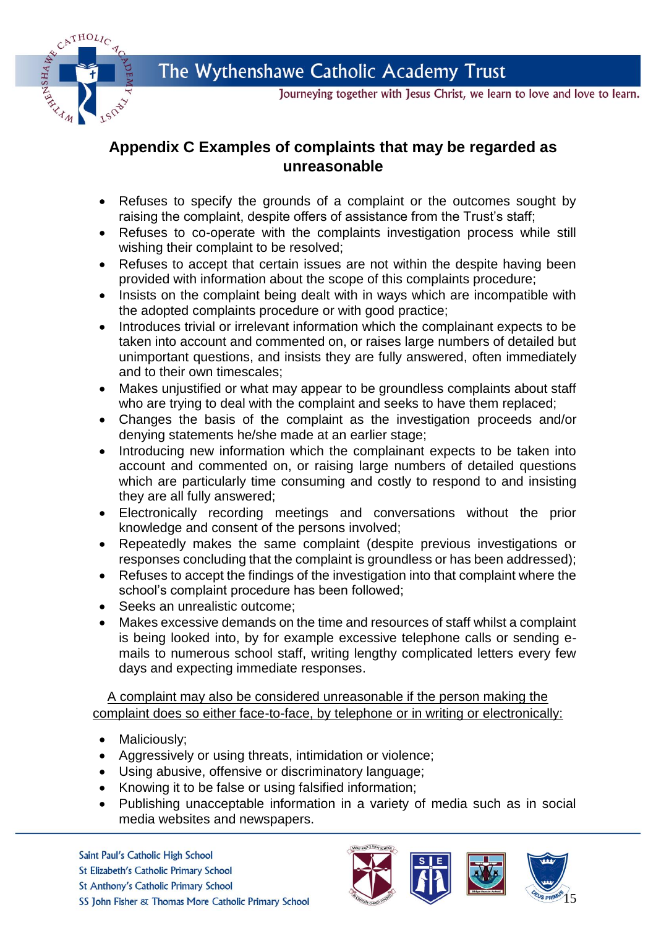



Journeying together with Jesus Christ, we learn to love and love to learn.

## **Appendix C Examples of complaints that may be regarded as unreasonable**

- Refuses to specify the grounds of a complaint or the outcomes sought by raising the complaint, despite offers of assistance from the Trust's staff;
- Refuses to co-operate with the complaints investigation process while still wishing their complaint to be resolved;
- Refuses to accept that certain issues are not within the despite having been provided with information about the scope of this complaints procedure;
- Insists on the complaint being dealt with in ways which are incompatible with the adopted complaints procedure or with good practice;
- Introduces trivial or irrelevant information which the complainant expects to be taken into account and commented on, or raises large numbers of detailed but unimportant questions, and insists they are fully answered, often immediately and to their own timescales;
- Makes unjustified or what may appear to be groundless complaints about staff who are trying to deal with the complaint and seeks to have them replaced;
- Changes the basis of the complaint as the investigation proceeds and/or denying statements he/she made at an earlier stage;
- Introducing new information which the complainant expects to be taken into account and commented on, or raising large numbers of detailed questions which are particularly time consuming and costly to respond to and insisting they are all fully answered;
- Electronically recording meetings and conversations without the prior knowledge and consent of the persons involved;
- Repeatedly makes the same complaint (despite previous investigations or responses concluding that the complaint is groundless or has been addressed);
- Refuses to accept the findings of the investigation into that complaint where the school's complaint procedure has been followed;
- Seeks an unrealistic outcome;
- Makes excessive demands on the time and resources of staff whilst a complaint is being looked into, by for example excessive telephone calls or sending emails to numerous school staff, writing lengthy complicated letters every few days and expecting immediate responses.

A complaint may also be considered unreasonable if the person making the complaint does so either face-to-face, by telephone or in writing or electronically:

- Maliciously;
- Aggressively or using threats, intimidation or violence;
- Using abusive, offensive or discriminatory language;
- Knowing it to be false or using falsified information;
- Publishing unacceptable information in a variety of media such as in social media websites and newspapers.





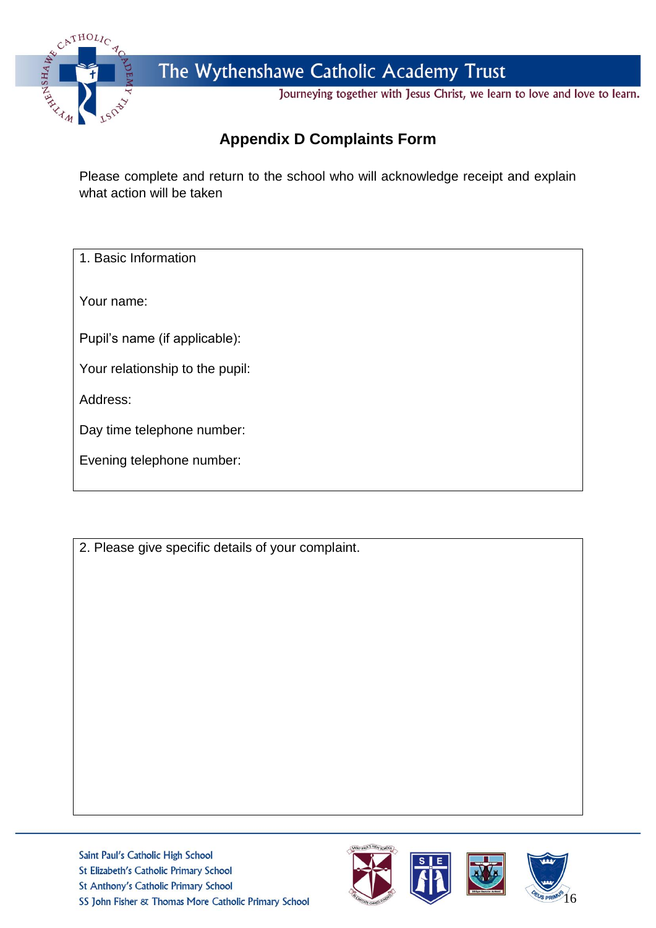

Journeying together with Jesus Christ, we learn to love and love to learn.

# **Appendix D Complaints Form**

Please complete and return to the school who will acknowledge receipt and explain what action will be taken

1. Basic Information

Your name:

Pupil's name (if applicable):

Your relationship to the pupil:

Address:

Day time telephone number:

2. Please give specific details of your complaint.





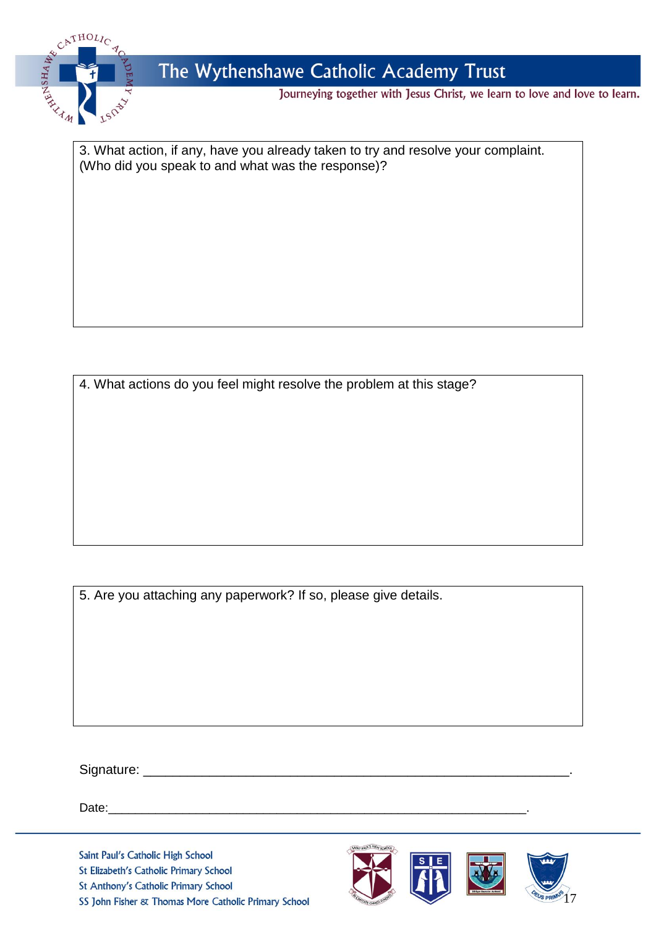

Journeying together with Jesus Christ, we learn to love and love to learn.

3. What action, if any, have you already taken to try and resolve your complaint. (Who did you speak to and what was the response)?

4. What actions do you feel might resolve the problem at this stage?

5. Are you attaching any paperwork? If so, please give details.

Signature: \_\_\_\_\_\_\_\_\_\_\_\_\_\_\_\_\_\_\_\_\_\_\_\_\_\_\_\_\_\_\_\_\_\_\_\_\_\_\_\_\_\_\_\_\_\_\_\_\_\_\_\_\_\_\_\_\_\_.

Date:\_\_\_\_\_\_\_\_\_\_\_\_\_\_\_\_\_\_\_\_\_\_\_\_\_\_\_\_\_\_\_\_\_\_\_\_\_\_\_\_\_\_\_\_\_\_\_\_\_\_\_\_\_\_\_\_\_\_\_\_\_\_.

Saint Paul's Catholic High School St Elizabeth's Catholic Primary School St Anthony's Catholic Primary School SS John Fisher & Thomas More Catholic Primary School